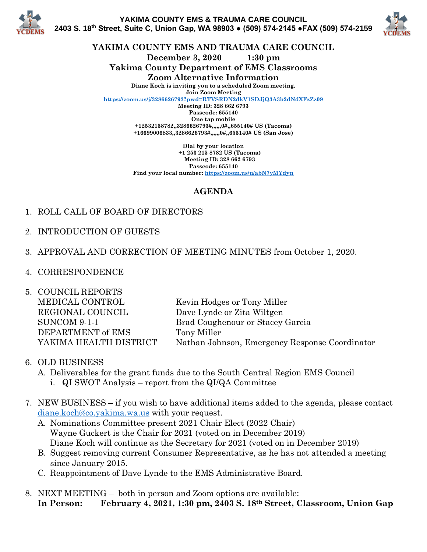



**YAKIMA COUNTY EMS AND TRAUMA CARE COUNCIL**

**December 3, 2020 1:30 pm**

**Yakima County Department of EMS Classrooms**

**Zoom Alternative Information**

**Diane Koch is inviting you to a scheduled Zoom meeting. Join Zoom Meeting**

**<https://zoom.us/j/3286626793?pwd=RTVSRDN2dkV1SDJjQ3A3b2dNdXFzZz09>**

**Meeting ID: 328 662 6793 Passcode: 655140 One tap mobile +12532158782,,3286626793#,,,,,,0#,,655140# US (Tacoma) +16699006833,,3286626793#,,,,,,0#,,655140# US (San Jose)**

**Dial by your location +1 253 215 8782 US (Tacoma) Meeting ID: 328 662 6793 Passcode: 655140 Find your local number:<https://zoom.us/u/abN7yMYdyn>**

## **AGENDA**

- 1. ROLL CALL OF BOARD OF DIRECTORS
- 2. INTRODUCTION OF GUESTS
- 3. APPROVAL AND CORRECTION OF MEETING MINUTES from October 1, 2020.
- 4. CORRESPONDENCE
- 5. COUNCIL REPORTS MEDICAL CONTROL Kevin Hodges or Tony Miller REGIONAL COUNCIL Dave Lynde or Zita Wiltgen SUNCOM 9-1-1 Brad Coughenour or Stacey Garcia DEPARTMENT of EMS Tony Miller YAKIMA HEALTH DISTRICT Nathan Johnson, Emergency Response Coordinator
- 6. OLD BUSINESS
	- A. Deliverables for the grant funds due to the South Central Region EMS Council
		- i. QI SWOT Analysis report from the QI/QA Committee
- 7. NEW BUSINESS if you wish to have additional items added to the agenda, please contact [diane.koch@co.yakima.wa.us](mailto:diane.koch@co.yakima.wa.us) with your request.
	- A. Nominations Committee present 2021 Chair Elect (2022 Chair) Wayne Guckert is the Chair for 2021 (voted on in December 2019) Diane Koch will continue as the Secretary for 2021 (voted on in December 2019)
	- B. Suggest removing current Consumer Representative, as he has not attended a meeting since January 2015.
	- C. Reappointment of Dave Lynde to the EMS Administrative Board.
- 8. NEXT MEETING both in person and Zoom options are available: **In Person: February 4, 2021, 1:30 pm, 2403 S. 18th Street, Classroom, Union Gap**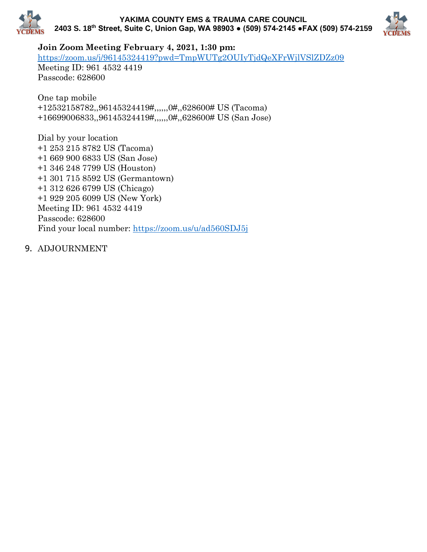



**Join Zoom Meeting February 4, 2021, 1:30 pm:** 

<https://zoom.us/j/96145324419?pwd=TmpWUTg2OUIyTjdQeXFrWjlVSlZDZz09>

Meeting ID: 961 4532 4419 Passcode: 628600

One tap mobile +12532158782,,96145324419#,,,,,,0#,,628600# US (Tacoma) +16699006833,,96145324419#,,,,,,0#,,628600# US (San Jose)

Dial by your location +1 253 215 8782 US (Tacoma) +1 669 900 6833 US (San Jose) +1 346 248 7799 US (Houston) +1 301 715 8592 US (Germantown) +1 312 626 6799 US (Chicago) +1 929 205 6099 US (New York) Meeting ID: 961 4532 4419 Passcode: 628600 Find your local number:<https://zoom.us/u/ad560SDJ5j>

9. ADJOURNMENT